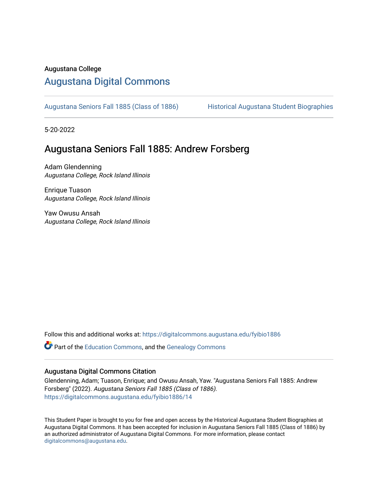#### Augustana College

### [Augustana Digital Commons](https://digitalcommons.augustana.edu/)

[Augustana Seniors Fall 1885 \(Class of 1886\)](https://digitalcommons.augustana.edu/fyibio1886) Historical Augustana Student Biographies

5-20-2022

### Augustana Seniors Fall 1885: Andrew Forsberg

Adam Glendenning Augustana College, Rock Island Illinois

Enrique Tuason Augustana College, Rock Island Illinois

Yaw Owusu Ansah Augustana College, Rock Island Illinois

Follow this and additional works at: [https://digitalcommons.augustana.edu/fyibio1886](https://digitalcommons.augustana.edu/fyibio1886?utm_source=digitalcommons.augustana.edu%2Ffyibio1886%2F14&utm_medium=PDF&utm_campaign=PDFCoverPages) 

Part of the [Education Commons](https://network.bepress.com/hgg/discipline/784?utm_source=digitalcommons.augustana.edu%2Ffyibio1886%2F14&utm_medium=PDF&utm_campaign=PDFCoverPages), and the [Genealogy Commons](https://network.bepress.com/hgg/discipline/1342?utm_source=digitalcommons.augustana.edu%2Ffyibio1886%2F14&utm_medium=PDF&utm_campaign=PDFCoverPages) 

#### Augustana Digital Commons Citation

Glendenning, Adam; Tuason, Enrique; and Owusu Ansah, Yaw. "Augustana Seniors Fall 1885: Andrew Forsberg" (2022). Augustana Seniors Fall 1885 (Class of 1886). [https://digitalcommons.augustana.edu/fyibio1886/14](https://digitalcommons.augustana.edu/fyibio1886/14?utm_source=digitalcommons.augustana.edu%2Ffyibio1886%2F14&utm_medium=PDF&utm_campaign=PDFCoverPages)

This Student Paper is brought to you for free and open access by the Historical Augustana Student Biographies at Augustana Digital Commons. It has been accepted for inclusion in Augustana Seniors Fall 1885 (Class of 1886) by an authorized administrator of Augustana Digital Commons. For more information, please contact [digitalcommons@augustana.edu](mailto:digitalcommons@augustana.edu).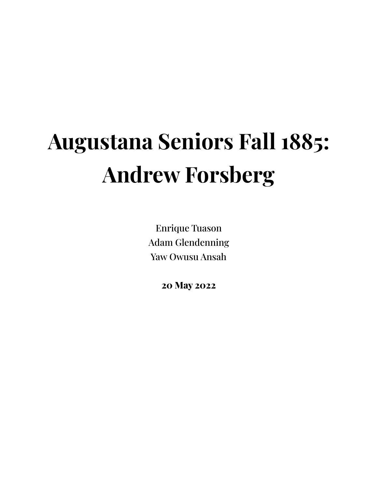# **Augustana Seniors Fall 1885: Andrew Forsberg**

Enrique Tuason Adam Glendenning Yaw Owusu Ansah

**20 May 2022**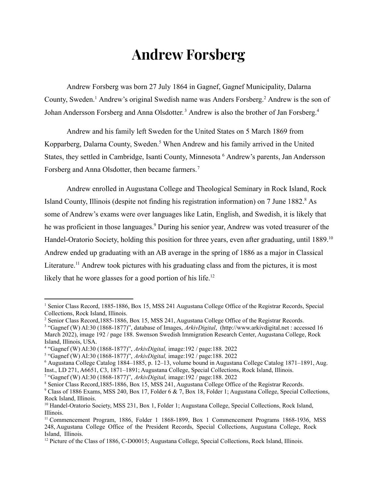### **Andrew Forsberg**

Andrew Forsberg was born 27 July 1864 in Gagnef, Gagnef Municipality, Dalarna County, Sweden.<sup>1</sup> Andrew's original Swedish name was Anders Forsberg.<sup>2</sup> Andrew is the son of Johan Andersson Forsberg and Anna Olsdotter.<sup>3</sup> Andrew is also the brother of Jan Forsberg.<sup>4</sup>

Andrew and his family left Sweden for the United States on 5 March 1869 from Kopparberg, Dalarna County, Sweden.<sup>5</sup> When Andrew and his family arrived in the United States, they settled in Cambridge, Isanti County, Minnesota <sup>6</sup> Andrew's parents, Jan Andersson Forsberg and Anna Olsdotter, then became farmers.<sup>7</sup>

Andrew enrolled in Augustana College and Theological Seminary in Rock Island, Rock Island County, Illinois (despite not finding his registration information) on 7 June 1882.<sup>8</sup> As some of Andrew's exams were over languages like Latin, English, and Swedish, it is likely that he was proficient in those languages.<sup>9</sup> During his senior year, Andrew was voted treasurer of the Handel-Oratorio Society, holding this position for three years, even after graduating, until 1889.<sup>10</sup> Andrew ended up graduating with an AB average in the spring of 1886 as a major in Classical Literature.<sup>11</sup> Andrew took pictures with his graduating class and from the pictures, it is most likely that he wore glasses for a good portion of his life.<sup>12</sup>

<sup>7</sup> "Gagnef (W) AI:30 (1868-1877)", *ArkivDigital,* image:192 / page:188. 2022

<sup>&</sup>lt;sup>1</sup> Senior Class Record, 1885-1886, Box 15, MSS 241 Augustana College Office of the Registrar Records, Special Collections, Rock Island, Illinois.

<sup>2</sup> Senior Class Record,1885-1886, Box 15, MSS 241, Augustana College Office of the Registrar Records.

<sup>3</sup> "Gagnef (W) AI:30 (1868-1877)", database of Images, *ArkivDigital*, (http://www.arkivdigital.net : accessed 16 March 2022), image 192 / page 188. Swenson Swedish Immigration Research Center, Augustana College, Rock Island, Illinois, USA.

<sup>4</sup> "Gagnef (W) AI:30 (1868-1877)", *ArkivDigital,* image:192 / page:188. 2022

<sup>5</sup> "Gagnef (W) AI:30 (1868-1877)", *ArkivDigital,* image:192 / page:188. 2022

<sup>6</sup> Augustana College Catalog 1884–1885, p. 12–13, volume bound in Augustana College Catalog 1871–1891, Aug. Inst., LD 271, A6651, C3, 1871–1891; Augustana College, Special Collections, Rock Island, Illinois.

<sup>&</sup>lt;sup>8</sup> Senior Class Record, 1885-1886, Box 15, MSS 241, Augustana College Office of the Registrar Records.

<sup>9</sup> Class of 1886 Exams, MSS 240, Box 17, Folder 6 & 7, Box 18, Folder 1; Augustana College, Special Collections, Rock Island, Illinois.

<sup>&</sup>lt;sup>10</sup> Handel-Oratorio Society, MSS 231, Box 1, Folder 1; Augustana College, Special Collections, Rock Island, Illinois.

<sup>11</sup> Commencement Program, 1886, Folder 1 1868-1899, Box 1 Commencement Programs 1868-1936, MSS 248, Augustana College Office of the President Records, Special Collections, Augustana College, Rock Island, Illinois.

 $12$  Picture of the Class of 1886, C-D00015; Augustana College, Special Collections, Rock Island, Illinois.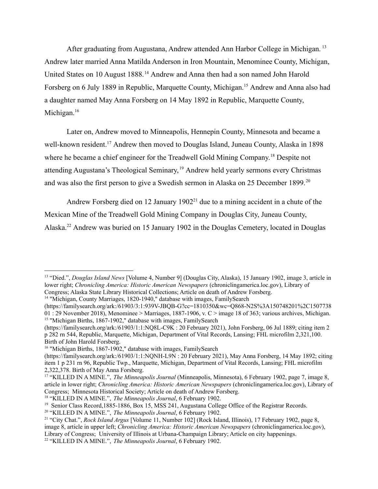After graduating from Augustana, Andrew attended Ann Harbor College in Michigan. <sup>13</sup> Andrew later married Anna Matilda Anderson in Iron Mountain, Menominee County, Michigan, United States on 10 August 1888.<sup>14</sup> Andrew and Anna then had a son named John Harold Forsberg on 6 July 1889 in Republic, Marquette County, Michigan.<sup>15</sup> Andrew and Anna also had a daughter named May Anna Forsberg on 14 May 1892 in Republic, Marquette County, Michigan.<sup>16</sup>

Later on, Andrew moved to Minneapolis, Hennepin County, Minnesota and became a well-known resident.<sup>17</sup> Andrew then moved to Douglas Island, Juneau County, Alaska in 1898 where he became a chief engineer for the Treadwell Gold Mining Company.<sup>18</sup> Despite not attending Augustana's Theological Seminary, <sup>19</sup> Andrew held yearly sermons every Christmas and was also the first person to give a Swedish sermon in Alaska on 25 December 1899.<sup>20</sup>

Andrew Forsberg died on 12 January  $1902<sup>21</sup>$  due to a mining accident in a chute of the Mexican Mine of the Treadwell Gold Mining Company in Douglas City, Juneau County, Alaska.<sup>22</sup> Andrew was buried on 15 January 1902 in the Douglas Cemetery, located in Douglas

<sup>14</sup> "Michigan, County Marriages, 1820-1940," database with images, FamilySearch

<sup>15</sup> "Michigan Births, 1867-1902," database with images, FamilySearch (https://familysearch.org/ark:/61903/3:1:939V-JBQB-G?cc=1810350&wc=Q868-N2S%3A150748201%2C1507738  $01$  : 29 November 2018), Menominee > Marriages, 1887-1906, v. C > image 18 of 363; various archives, Michigan.

<sup>13</sup> "Died.", *Douglas Island News* [Volume 4, Number 9] (Douglas City, Alaska), 15 January 1902, image 3, article in lower right; *Chronicling America: Historic American Newspapers* (chroniclingamerica.loc.gov), Library of Congress; Alaska State Library Historical Collections; Article on death of Andrew Forsberg.

<sup>(</sup>https://familysearch.org/ark:/61903/1:1:NQ8L-C9K : 20 February 2021), John Forsberg, 06 Jul 1889; citing item 2 p 282 rn 544, Republic, Marquette, Michigan, Department of Vital Records, Lansing; FHL microfilm 2,321,100. Birth of John Harold Forsberg.

<sup>&</sup>lt;sup>16</sup> "Michigan Births, 1867-1902," database with images, FamilySearch

<sup>(</sup>https://familysearch.org/ark:/61903/1:1:NQNH-L9N : 20 February 2021), May Anna Forsberg, 14 May 1892; citing item 1 p 231 rn 96, Republic Twp., Marquette, Michigan, Department of Vital Records, Lansing; FHL microfilm 2,322,378. Birth of May Anna Forsberg.

<sup>17</sup> "KILLED IN A MINE.", *The Minneapolis Journal* (Minneapolis, Minnesota), 6 February 1902, page 7, image 8, article in lower right; *Chronicling America: Historic American Newspapers* (chroniclingamerica.loc.gov), Library of Congress; Minnesota Historical Society; Article on death of Andrew Forsberg.

<sup>18</sup> "KILLED IN A MINE.", *The Minneapolis Journal*, 6 February 1902.

<sup>&</sup>lt;sup>19</sup> Senior Class Record, 1885-1886, Box 15, MSS 241, Augustana College Office of the Registrar Records.

<sup>20</sup> "KILLED IN A MINE.", *The Minneapolis Journal*, 6 February 1902.

<sup>21</sup> "City Chat.", *Rock Island Argus* [Volume 11, Number 102] (Rock Island, Illinois), 17 February 1902, page 8, image 8, article in upper left; *Chronicling America: Historic American Newspapers* (chroniclingamerica.loc.gov), Library of Congress; University of Illinois at Urbana-Champaign Library; Article on city happenings.

<sup>22</sup> "KILLED IN A MINE.", *The Minneapolis Journal*, 6 February 1902.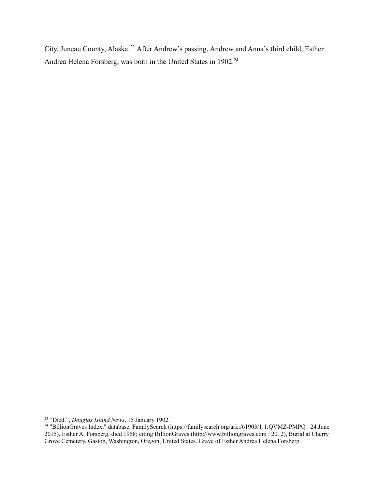City, Juneau County, Alaska.<sup>23</sup> After Andrew's passing, Andrew and Anna's third child, Esther Andrea Helena Forsberg, was born in the United States in 1902.<sup>24</sup>

<sup>23</sup> "Died.", *Douglas Island News*, 15 January 1902.

<sup>&</sup>lt;sup>24</sup> "BillionGraves Index," database, FamilySearch (https://familysearch.org/ark:/61903/1:1:QVMZ-PMPQ : 24 June 2015), Esther A. Forsberg, died 1958; citing BillionGraves (http://www.billiongraves.com : 2012), Burial at Cherry Grove Cemetery, Gaston, Washington, Oregon, United States. Grave of Esther Andrea Helena Forsberg.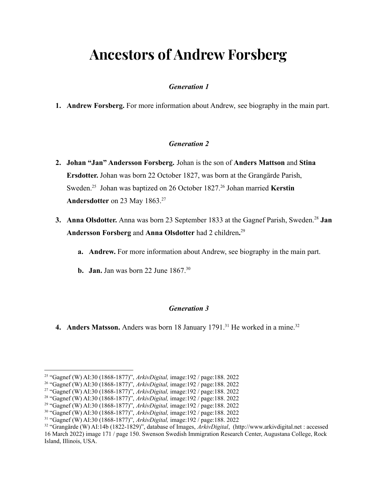# **Ancestors of Andrew Forsberg**

#### *Generation 1*

**1. Andrew Forsberg.** For more information about Andrew, see biography in the main part.

#### *Generation 2*

- **2. Johan "Jan" Andersson Forsberg.** Johan is the son of **Anders Mattson** and **Stina Ersdotter.** Johan was born 22 October 1827, was born at the Grangärde Parish, Sweden.<sup>25</sup> Johan was baptized on 26 October 1827.<sup>26</sup> Johan married **Kerstin** Andersdotter on 23 May 1863.<sup>27</sup>
- **3. Anna Olsdotter.** Anna was born 23 September 1833 at the Gagnef Parish, Sweden.<sup>28</sup> Jan **Andersson Forsberg** and **Anna Olsdotter** had 2 children**.** 29
	- **a. Andrew.** For more information about Andrew, see biography in the main part.
	- **b. Jan.** Jan was born 22 June 1867.<sup>30</sup>

#### *Generation 3*

**4. Anders Matsson.** Anders was born 18 January 1791.<sup>31</sup> He worked in a mine.<sup>32</sup>

<sup>25</sup> "Gagnef (W) AI:30 (1868-1877)", *ArkivDigital,* image:192 / page:188. 2022

<sup>26</sup> "Gagnef (W) AI:30 (1868-1877)", *ArkivDigital,* image:192 / page:188. 2022

<sup>27</sup> "Gagnef (W) AI:30 (1868-1877)", *ArkivDigital,* image:192 / page:188. 2022

<sup>28</sup> "Gagnef (W) AI:30 (1868-1877)", *ArkivDigital,* image:192 / page:188. 2022

<sup>29</sup> "Gagnef (W) AI:30 (1868-1877)", *ArkivDigital,* image:192 / page:188. 2022

<sup>30</sup> "Gagnef (W) AI:30 (1868-1877)", *ArkivDigital,* image:192 / page:188. 2022

<sup>31</sup> "Gagnef (W) AI:30 (1868-1877)", *ArkivDigital,* image:192 / page:188. 2022

<sup>32</sup> "Grangärde (W) AI:14b (1822-1829)", database of Images, *ArkivDigital*, (http://www.arkivdigital.net : accessed 16 March 2022) image 171 / page 150. Swenson Swedish Immigration Research Center, Augustana College, Rock Island, Illinois, USA.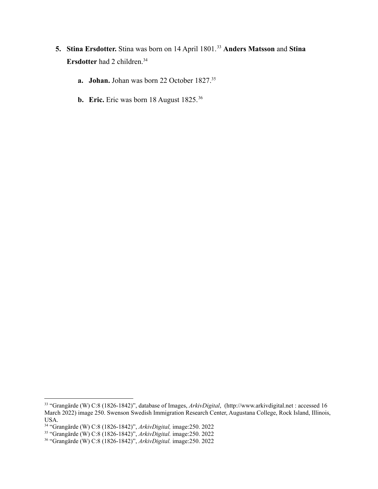- **5. Stina Ersdotter.** Stina was born on 14 April 1801.<sup>33</sup> **Anders Matsson** and **Stina Ersdotter** had 2 children.<sup>34</sup>
	- **a. Johan.** Johan was born 22 October 1827.<sup>35</sup>
	- **b. Eric.** Eric was born 18 August 1825.<sup>36</sup>

<sup>33</sup> "Grangärde (W) C:8 (1826-1842)", database of Images, *ArkivDigital*, (http://www.arkivdigital.net : accessed 16 March 2022) image 250. Swenson Swedish Immigration Research Center, Augustana College, Rock Island, Illinois, USA.

<sup>34</sup> "Grangärde (W) C:8 (1826-1842)", *ArkivDigital,* image:250. 2022

<sup>35</sup> "Grangärde (W) C:8 (1826-1842)", *ArkivDigital.* image:250. 2022

<sup>36</sup> "Grangärde (W) C:8 (1826-1842)", *ArkivDigital.* image:250. 2022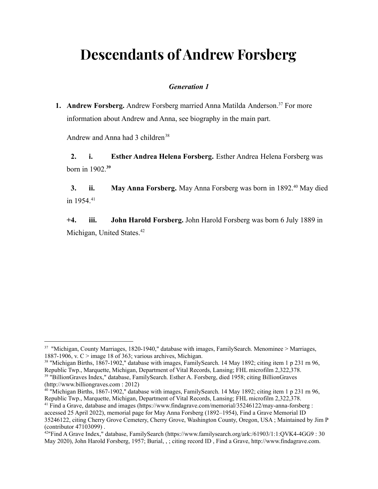# **Descendants of Andrew Forsberg**

#### *Generation 1*

**1. Andrew Forsberg.** Andrew Forsberg married Anna Matilda Anderson.<sup>37</sup> For more information about Andrew and Anna, see biography in the main part.

Andrew and Anna had 3 children<sup>38</sup>

**+2. i. Esther Andrea Helena Forsberg.** Esther Andrea Helena Forsberg was born in 1902.**<sup>39</sup>**

**3. ii. May Anna Forsberg.** May Anna Forsberg was born in 1892.<sup>40</sup> May died in 1954.<sup>41</sup>

**+4. iii. John Harold Forsberg.** John Harold Forsberg was born 6 July 1889 in Michigan, United States.<sup>42</sup>

<sup>&</sup>lt;sup>37</sup> "Michigan, County Marriages, 1820-1940," database with images, FamilySearch. Menominee > Marriages, 1887-1906, v.  $C >$  image 18 of 363; various archives, Michigan.

<sup>39</sup> "BillionGraves Index," database, FamilySearch. Esther A. Forsberg, died 1958; citing BillionGraves <sup>38</sup> "Michigan Births, 1867-1902," database with images, FamilySearch. 14 May 1892; citing item 1 p 231 rn 96, Republic Twp., Marquette, Michigan, Department of Vital Records, Lansing; FHL microfilm 2,322,378.

<sup>(</sup>http://www.billiongraves.com : 2012)

<sup>40</sup> "Michigan Births, 1867-1902," database with images, FamilySearch. 14 May 1892; citing item 1 p 231 rn 96, Republic Twp., Marquette, Michigan, Department of Vital Records, Lansing; FHL microfilm 2,322,378.

<sup>&</sup>lt;sup>41</sup> Find a Grave, database and images (https://www.findagrave.com/memorial/35246122/may-anna-forsberg : accessed 25 April 2022), memorial page for May Anna Forsberg (1892–1954), Find a Grave Memorial ID 35246122, citing Cherry Grove Cemetery, Cherry Grove, Washington County, Oregon, USA ; Maintained by Jim P (contributor 47103099) .

<sup>&</sup>lt;sup>42</sup>"Find A Grave Index," database, FamilySearch (https://www.familysearch.org/ark:/61903/1:1:QVK4-4GG9: 30 May 2020), John Harold Forsberg, 1957; Burial, , ; citing record ID , Find a Grave, http://www.findagrave.com.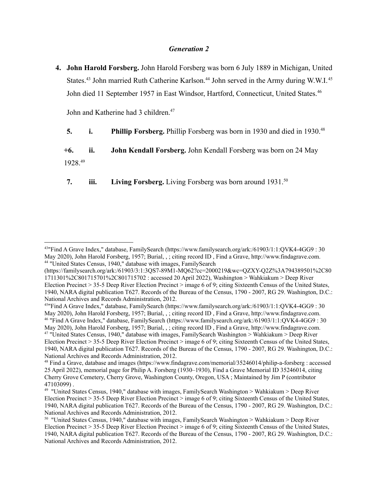#### *Generation 2*

**4. John Harold Forsberg.** John Harold Forsberg was born 6 July 1889 in Michigan, United States.<sup>43</sup> John married Ruth Catherine Karlson.<sup>44</sup> John served in the Army during W.W.I.<sup>45</sup> John died 11 September 1957 in East Windsor, Hartford, Connecticut, United States.<sup>46</sup>

John and Katherine had 3 children.<sup>47</sup>

**5. i. Phillip Forsberg.** Phillip Forsberg was born in 1930 and died in 1930.<sup>48</sup>

**+6. ii. John Kendall Forsberg.** John Kendall Forsberg was born on 24 May 1928.<sup>49</sup>

**7. iii. Living Forsberg.** Living Forsberg was born around 1931.<sup>50</sup>

<sup>44</sup> "United States Census, 1940," database with images, FamilySearch <sup>43</sup>"Find A Grave Index," database, FamilySearch (https://www.familysearch.org/ark:/61903/1:1:QVK4-4GG9 : 30 May 2020), John Harold Forsberg, 1957; Burial, , ; citing record ID , Find a Grave, http://www.findagrave.com.

<sup>(</sup>https://familysearch.org/ark:/61903/3:1:3QS7-89M1-MQ62?cc=2000219&wc=QZXY-Q2Z%3A794389501%2C80 1711301%2C801715701%2C801715702 : accessed 20 April 2022), Washington > Wahkiakum > Deep River Election Precinct > 35-5 Deep River Election Precinct > image 6 of 9; citing Sixteenth Census of the United States, 1940, NARA digital publication T627. Records of the Bureau of the Census, 1790 - 2007, RG 29. Washington, D.C.: National Archives and Records Administration, 2012.

<sup>47</sup> "United States Census, 1940," database with images, FamilySearch Washington > Wahkiakum > Deep River Election Precinct > 35-5 Deep River Election Precinct > image 6 of 9; citing Sixteenth Census of the United States, 1940, NARA digital publication T627. Records of the Bureau of the Census, 1790 - 2007, RG 29. Washington, D.C.: National Archives and Records Administration, 2012. <sup>46</sup> "Find A Grave Index," database, FamilySearch (https://www.familysearch.org/ark:/61903/1:1:QVK4-4GG9 : 30 May 2020), John Harold Forsberg, 1957; Burial, , ; citing record ID , Find a Grave, http://www.findagrave.com. <sup>45</sup>"Find A Grave Index," database, FamilySearch (https://www.familysearch.org/ark:/61903/1:1:QVK4-4GG9 : 30 May 2020), John Harold Forsberg, 1957; Burial, , ; citing record ID , Find a Grave, http://www.findagrave.com.

<sup>48</sup> Find a Grave, database and images (https://www.findagrave.com/memorial/35246014/philip-a-forsberg : accessed 25 April 2022), memorial page for Philip A. Forsberg (1930–1930), Find a Grave Memorial ID 35246014, citing Cherry Grove Cemetery, Cherry Grove, Washington County, Oregon, USA ; Maintained by Jim P (contributor 47103099) .

<sup>49</sup> "United States Census, 1940," database with images, FamilySearch Washington > Wahkiakum > Deep River Election Precinct > 35-5 Deep River Election Precinct > image 6 of 9; citing Sixteenth Census of the United States, 1940, NARA digital publication T627. Records of the Bureau of the Census, 1790 - 2007, RG 29. Washington, D.C.: National Archives and Records Administration, 2012.

<sup>50</sup> "United States Census, 1940," database with images, FamilySearch Washington > Wahkiakum > Deep River Election Precinct > 35-5 Deep River Election Precinct > image 6 of 9; citing Sixteenth Census of the United States, 1940, NARA digital publication T627. Records of the Bureau of the Census, 1790 - 2007, RG 29. Washington, D.C.: National Archives and Records Administration, 2012.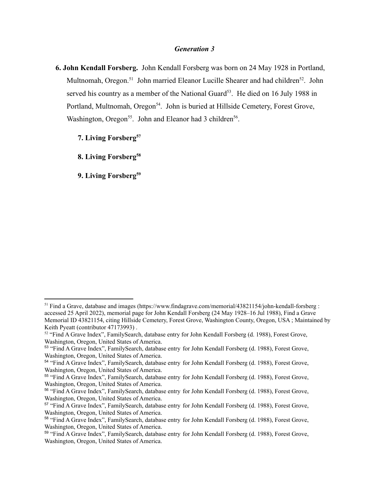#### *Generation 3*

- **6. John Kendall Forsberg.** John Kendall Forsberg was born on 24 May 1928 in Portland, Multnomah, Oregon.<sup>51</sup> John married Eleanor Lucille Shearer and had children<sup>52</sup>. John served his country as a member of the National Guard<sup>53</sup>. He died on 16 July 1988 in Portland, Multnomah, Oregon<sup>54</sup>. John is buried at Hillside Cemetery, Forest Grove, Washington, Oregon<sup>55</sup>. John and Eleanor had 3 children<sup>56</sup>.
	- **7. Living Forsberg<sup>57</sup>**

**8. Living Forsberg<sup>58</sup>**

**9. Living Forsberg<sup>59</sup>**

<sup>&</sup>lt;sup>51</sup> Find a Grave, database and images (https://www.findagrave.com/memorial/43821154/john-kendall-forsberg : accessed 25 April 2022), memorial page for John Kendall Forsberg (24 May 1928–16 Jul 1988), Find a Grave Memorial ID 43821154, citing Hillside Cemetery, Forest Grove, Washington County, Oregon, USA ; Maintained by Keith Pyeatt (contributor 47173993) .

<sup>52</sup> "Find A Grave Index", FamilySearch, database entry for John Kendall Forsberg (d. 1988), Forest Grove, Washington, Oregon, United States of America.

<sup>53</sup> "Find A Grave Index", FamilySearch, database entry for John Kendall Forsberg (d. 1988), Forest Grove, Washington, Oregon, United States of America.

<sup>54</sup> "Find A Grave Index", FamilySearch, database entry for John Kendall Forsberg (d. 1988), Forest Grove, Washington, Oregon, United States of America.

<sup>55</sup> "Find A Grave Index", FamilySearch, database entry for John Kendall Forsberg (d. 1988), Forest Grove, Washington, Oregon, United States of America.

<sup>56</sup> "Find A Grave Index", FamilySearch, database entry for John Kendall Forsberg (d. 1988), Forest Grove, Washington, Oregon, United States of America.

<sup>57</sup> "Find A Grave Index", FamilySearch, database entry for John Kendall Forsberg (d. 1988), Forest Grove, Washington, Oregon, United States of America.

<sup>58</sup> "Find A Grave Index", FamilySearch, database entry for John Kendall Forsberg (d. 1988), Forest Grove, Washington, Oregon, United States of America.

<sup>59</sup> "Find A Grave Index", FamilySearch, database entry for John Kendall Forsberg (d. 1988), Forest Grove, Washington, Oregon, United States of America.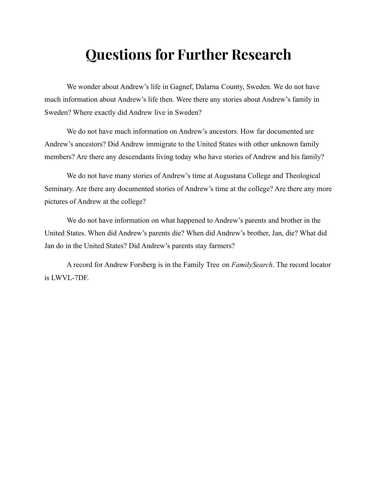# **Questions for Further Research**

We wonder about Andrew's life in Gagnef, Dalarna County, Sweden. We do not have much information about Andrew's life then. Were there any stories about Andrew's family in Sweden? Where exactly did Andrew live in Sweden?

We do not have much information on Andrew's ancestors. How far documented are Andrew's ancestors? Did Andrew immigrate to the United States with other unknown family members? Are there any descendants living today who have stories of Andrew and his family?

We do not have many stories of Andrew's time at Augustana College and Theological Seminary. Are there any documented stories of Andrew's time at the college? Are there any more pictures of Andrew at the college?

We do not have information on what happened to Andrew's parents and brother in the United States. When did Andrew's parents die? When did Andrew's brother, Jan, die? What did Jan do in the United States? Did Andrew's parents stay farmers?

A record for Andrew Forsberg is in the Family Tree on *FamilySearch*. The record locator is LWVL-7DF.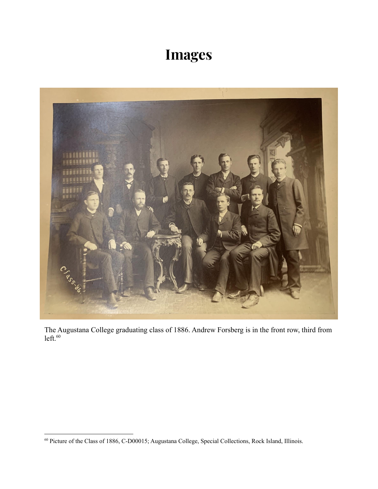# **Images**



The Augustana College graduating class of 1886. Andrew Forsberg is in the front row, third from  $left.60$ 

<sup>60</sup> Picture of the Class of 1886, C-D00015; Augustana College, Special Collections, Rock Island, Illinois.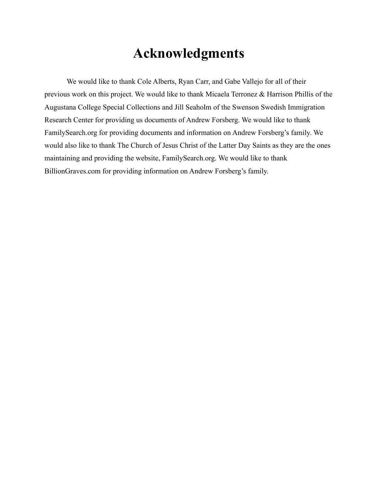### **Acknowledgments**

We would like to thank Cole Alberts, Ryan Carr, and Gabe Vallejo for all of their previous work on this project. We would like to thank Micaela Terronez & Harrison Phillis of the Augustana College Special Collections and Jill Seaholm of the Swenson Swedish Immigration Research Center for providing us documents of Andrew Forsberg. We would like to thank FamilySearch.org for providing documents and information on Andrew Forsberg's family. We would also like to thank The Church of Jesus Christ of the Latter Day Saints as they are the ones maintaining and providing the website, FamilySearch.org. We would like to thank BillionGraves.com for providing information on Andrew Forsberg's family.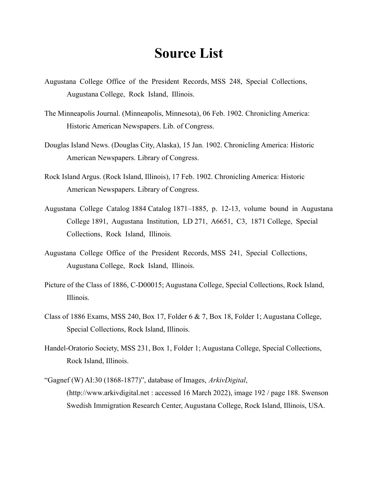### **Source List**

- Augustana College Office of the President Records, MSS 248, Special Collections, Augustana College, Rock Island, Illinois.
- The Minneapolis Journal. (Minneapolis, Minnesota), 06 Feb. 1902. Chronicling America: Historic American Newspapers. Lib. of Congress.
- Douglas Island News. (Douglas City, Alaska), 15 Jan. 1902. Chronicling America: Historic American Newspapers. Library of Congress.
- Rock Island Argus. (Rock Island, Illinois), 17 Feb. 1902. Chronicling America: Historic American Newspapers. Library of Congress.
- Augustana College Catalog 1884 Catalog 1871–1885, p. 12-13, volume bound in Augustana College 1891, Augustana Institution, LD 271, A6651, C3, 1871 College, Special Collections, Rock Island, Illinois.
- Augustana College Office of the President Records, MSS 241, Special Collections, Augustana College, Rock Island, Illinois.
- Picture of the Class of 1886, C-D00015; Augustana College, Special Collections, Rock Island, Illinois.
- Class of 1886 Exams, MSS 240, Box 17, Folder 6 & 7, Box 18, Folder 1; Augustana College, Special Collections, Rock Island, Illinois.
- Handel-Oratorio Society, MSS 231, Box 1, Folder 1; Augustana College, Special Collections, Rock Island, Illinois.
- "Gagnef (W) AI:30 (1868-1877)", database of Images, *ArkivDigital*, (http://www.arkivdigital.net : accessed 16 March 2022), image 192 / page 188. Swenson Swedish Immigration Research Center, Augustana College, Rock Island, Illinois, USA.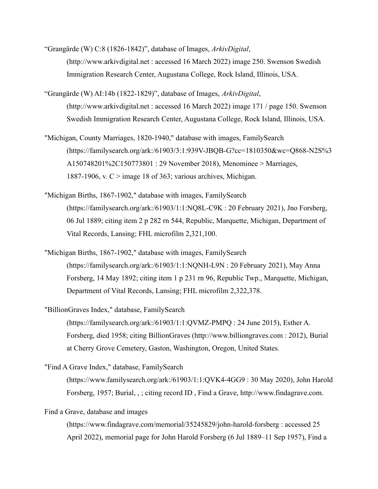"Grangärde (W) C:8 (1826-1842)", database of Images, *ArkivDigital*, (http://www.arkivdigital.net : accessed 16 March 2022) image 250. Swenson Swedish Immigration Research Center, Augustana College, Rock Island, Illinois, USA.

"Grangärde (W) AI:14b (1822-1829)", database of Images, *ArkivDigital*, (http://www.arkivdigital.net : accessed 16 March 2022) image 171 / page 150. Swenson Swedish Immigration Research Center, Augustana College, Rock Island, Illinois, USA.

- "Michigan, County Marriages, 1820-1940," database with images, FamilySearch (https://familysearch.org/ark:/61903/3:1:939V-JBQB-G?cc=1810350&wc=Q868-N2S%3 A150748201%2C150773801 : 29 November 2018), Menominee > Marriages, 1887-1906, v.  $C >$  image 18 of 363; various archives, Michigan.
- "Michigan Births, 1867-1902," database with images, FamilySearch (https://familysearch.org/ark:/61903/1:1:NQ8L-C9K : 20 February 2021), Jno Forsberg, 06 Jul 1889; citing item 2 p 282 rn 544, Republic, Marquette, Michigan, Department of Vital Records, Lansing; FHL microfilm 2,321,100.
- "Michigan Births, 1867-1902," database with images, FamilySearch (https://familysearch.org/ark:/61903/1:1:NQNH-L9N : 20 February 2021), May Anna Forsberg, 14 May 1892; citing item 1 p 231 rn 96, Republic Twp., Marquette, Michigan, Department of Vital Records, Lansing; FHL microfilm 2,322,378.

"BillionGraves Index," database, FamilySearch (https://familysearch.org/ark:/61903/1:1:QVMZ-PMPQ : 24 June 2015), Esther A. Forsberg, died 1958; citing BillionGraves (http://www.billiongraves.com : 2012), Burial at Cherry Grove Cemetery, Gaston, Washington, Oregon, United States.

"Find A Grave Index," database, FamilySearch (https://www.familysearch.org/ark:/61903/1:1:QVK4-4GG9 : 30 May 2020), John Harold Forsberg, 1957; Burial, , ; citing record ID , Find a Grave, http://www.findagrave.com.

Find a Grave, database and images

(https://www.findagrave.com/memorial/35245829/john-harold-forsberg : accessed 25 April 2022), memorial page for John Harold Forsberg (6 Jul 1889–11 Sep 1957), Find a